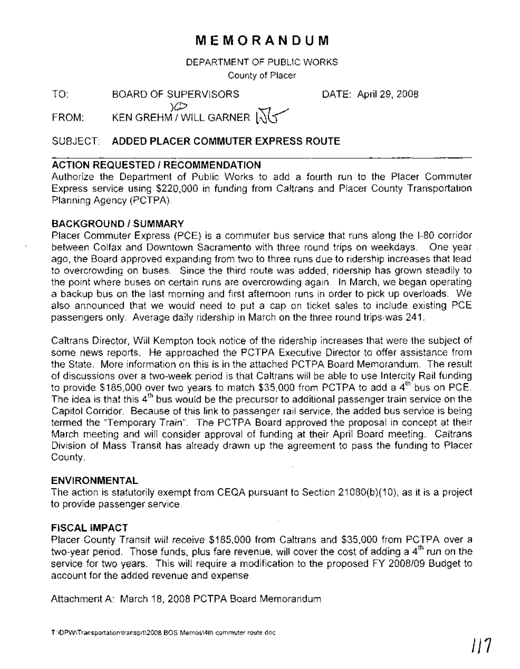# **MEMORANDUM**

DEPARTMENT OF PUBLIC WORKS

County of Placer

TO: BOARD OF SUPERVISORS DATE: April 29, 2008

)(j:/ KEN GREHM  $7$  WILL GARNER  $\sqrt{2}$ FROM:

### SUBJECT: **ADDED PLACER COMMUTER EXPRESS ROUTE**

### **ACTION REQUESTED / RECOMMENDATION**

Authorize the Department of Public Works to add a fourth run to the Placer Commuter Express service using \$220,000 in funding from Caltrans and Placer County Transportation Planning Agency (PCTPA).

#### **BACKGROUND/SUMMARY**

Placer Commuter Express (PCE) is a commuter bus service that runs along the 1-80 corridor between Colfax and Downtown Sacramento with three round trips on weekdays. One year . ago, the Board approved expanding from two to three runs due to ridership increases that lead to overcrowding on buses. Since the third route was added, ridership has grown steadily to the point where buses on certain runs are overcrowding again. In March, we began operating a backup bus on the last morning and first afternoon runs in order to pick up overloads. We also announced that we would need to put a cap on ticket sales to include existing PCE passengers only. Average daily ridership in March on the three round trips was 241.

Caltrans Director, Will Kempton took notice of the ridership increases that were the subject of some news reports. He approached the PCTPA Executive Director to offer assistance from the State. More information on this is in the attached PCTPA Board Memorandum. The result of discussions over a two-week period is that Caltrans will be able to use Intercity Rail funding to provide \$185,000 over two years to match \$35,000 from PCTPA to add a  $4<sup>th</sup>$  bus on PCE. The idea is that this 4<sup>th</sup> bus would be the precursor to additional passenger train service on the Capitol Corridor. Because of this link to passenger rail service, the added bus service is being termed the 'Temporary Train". The PCTPA Board approved the proposal in concept at their March meeting and will consider approval of funding at their April Board meeting. Caltrans Division of Mass Transit has already drawn up the agreement to pass the funding to Placer County.

#### **ENVIRONMENTAL**

The action is statutorily exempt from CEQA pursuant to Section 21080(b)(10), as it is a project to provide passenger service.

#### **FISCAL IMPACT**

Placer County Transit will receive \$185,000 from Caltrans and \$35,000 from PCTPA over a two-year period. Those funds, plus fare revenue, will cover the cost of adding a 4<sup>th</sup> run on the service for two years. This will require a modification to the proposed FY 2008/09 Budget to account for the added revenue and expense.

Attachment A: March 18, 2008 PCTPA Board Memorandum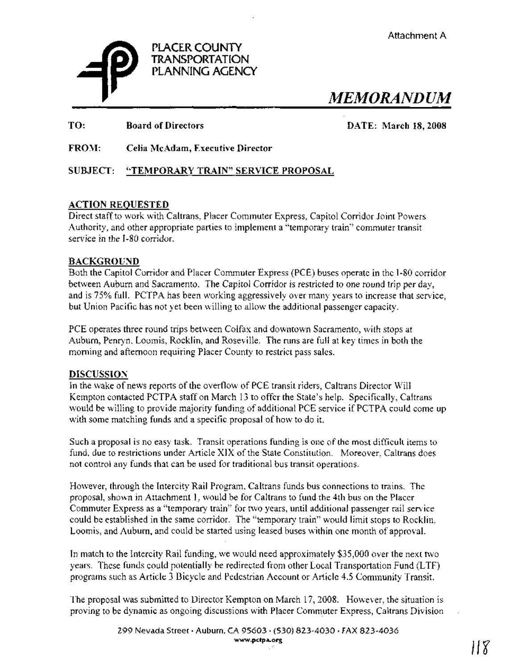

*MEMORANDUM*

TO: Board of Directors DATE: March 18,2008

FROM: Celia McAdam, Executive Director

### SUBJECT: "TEMPORARY TRAIN" SERVICE PROPOSAL

#### ACTION REQUESTED

Direct staffto work with Caltrans, Placer Commuter Express, Capitol Corridor Joint Powers Authority, and other appropriate parties to implement a "temporary train" commuter transit service in the 1-80 corridor.

#### BACKGROUND

Both the Capitol Corridor and Placer Commuter Express (PCE) buses operate in the 1-80 corridor between Auburn and Sacramento. The Capitol Corridor is restricted to one round trip per day, and is 75% full. PCTPA has been working aggressively over many years to increase that service, but Union Pacific has not yet been willing to allow the additional passenger capacity.

PCE operates three round trips between Colfax and downtown Sacramento, with stops at Auburn, Penryn, Loomis, Rocklin, and Roseville. The runs are full at key times in both the morning and afternoon requiring Placer County to restrict pass sales.

#### DISCUSSION

In the wake of news reports of the overflow of PCE transit riders, Caltrans Director Will Kempton contacted PCTPA staff on March 13 to offer the State's help. Specifically, Caltrans would be willing to provide majority funding of additional PCE service if PCTPA could come up with some matching funds and a specific proposal of how to do it.

Such a proposal is no easy task. Transit operations funding is one of the most difficult items to fund, due to restrictions under Article XIX of the State Constitution. Moreover, Caltrans does not control any funds that can be used for traditional bus transit operations.

However, through the Intercity Rail Program, Caltrans funds bus connections to trains. The proposal, shown in Attachment 1, would be for Caltrans to fund the 4th bus on the Placer Commuter Express as a "temporary train" for two years, until additional passenger rail service could be established in the same corridor. The "temporary train" would limit stops to Rocklin, Loomis, and Auburn, and could be started using leased buses within one month of approval.

In match to the Intercity Rail funding, we would need approximately \$35,000 over the next two years. These funds could potentially be redirected from other Local Transportation Fund (LIF) programs such as Article 3 Bicycle and Pedestrian Account or Article 4.5 Community Transit.

The proposal was submitted to Director Kempton on March 17,2008. However, the situation is proving to be dynamic as ongoing discussions with Placer Commuter Express, Caltrans Division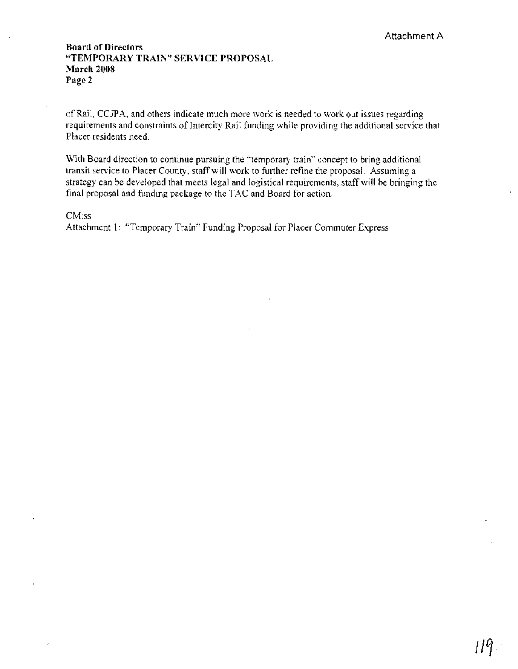#### **Board of Directors "TEMPORARY TRAIN" SERVICE PROPOSAL March 2008** Page 2

of Rail, CCJPA, and others indicate much more work is needed to work out issues regarding requirements and constraints of Intercity Rail funding while providing the additional service that Placer residents need.

With Board direction to continue pursuing the "temporary train" concept to bring additional transit service to Placer County, staff will work to further refine the proposal. Assuming a strategy can be developed that meets legal and logistical requirements,.staffwill be bringing the final proposal and funding package to the TAC and Board for action..

CM:ss

Attachment 1: "Temporary Train" Funding Proposal for Placer Commuter Express